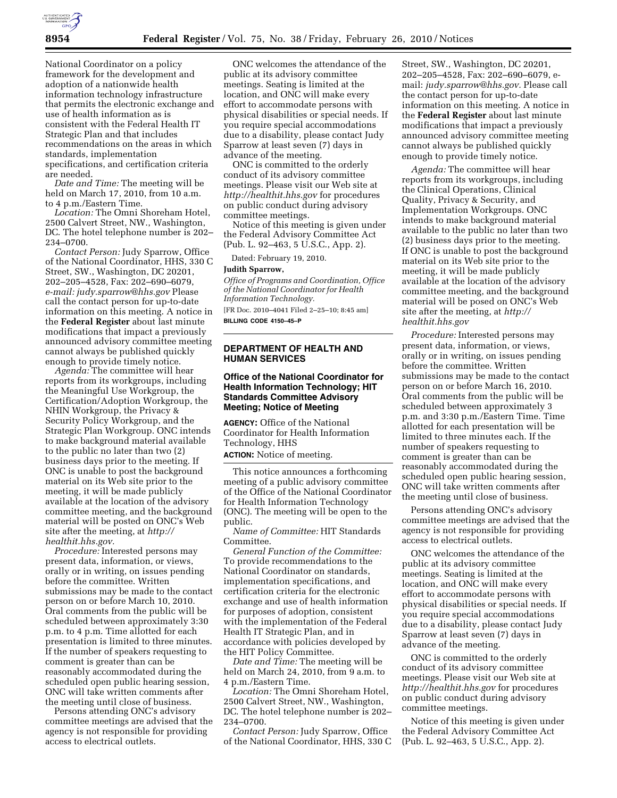

National Coordinator on a policy framework for the development and adoption of a nationwide health information technology infrastructure that permits the electronic exchange and use of health information as is consistent with the Federal Health IT Strategic Plan and that includes recommendations on the areas in which standards, implementation specifications, and certification criteria are needed.

*Date and Time:* The meeting will be held on March 17, 2010, from 10 a.m. to 4 p.m./Eastern Time.

*Location:* The Omni Shoreham Hotel, 2500 Calvert Street, NW., Washington, DC. The hotel telephone number is 202– 234–0700.

*Contact Person:* Judy Sparrow, Office of the National Coordinator, HHS, 330 C Street, SW., Washington, DC 20201, 202–205–4528, Fax: 202–690–6079, *e-mail: judy.sparrow@hhs.gov* Please call the contact person for up-to-date information on this meeting. A notice in the **Federal Register** about last minute modifications that impact a previously announced advisory committee meeting cannot always be published quickly enough to provide timely notice.

*Agenda:* The committee will hear reports from its workgroups, including the Meaningful Use Workgroup, the Certification/Adoption Workgroup, the NHIN Workgroup, the Privacy & Security Policy Workgroup, and the Strategic Plan Workgroup. ONC intends to make background material available to the public no later than two (2) business days prior to the meeting. If ONC is unable to post the background material on its Web site prior to the meeting, it will be made publicly available at the location of the advisory committee meeting, and the background material will be posted on ONC's Web site after the meeting, at *http:// healthit.hhs.gov.* 

*Procedure:* Interested persons may present data, information, or views, orally or in writing, on issues pending before the committee. Written submissions may be made to the contact person on or before March 10, 2010. Oral comments from the public will be scheduled between approximately 3:30 p.m. to 4 p.m. Time allotted for each presentation is limited to three minutes. If the number of speakers requesting to comment is greater than can be reasonably accommodated during the scheduled open public hearing session, ONC will take written comments after the meeting until close of business.

Persons attending ONC's advisory committee meetings are advised that the agency is not responsible for providing access to electrical outlets.

ONC welcomes the attendance of the public at its advisory committee meetings. Seating is limited at the location, and ONC will make every effort to accommodate persons with physical disabilities or special needs. If you require special accommodations due to a disability, please contact Judy Sparrow at least seven (7) days in advance of the meeting.

ONC is committed to the orderly conduct of its advisory committee meetings. Please visit our Web site at *http://healthit.hhs.gov* for procedures on public conduct during advisory committee meetings.

Notice of this meeting is given under the Federal Advisory Committee Act (Pub. L. 92–463, 5 U.S.C., App. 2).

Dated: February 19, 2010.

#### **Judith Sparrow,**

*Office of Programs and Coordination, Office of the National Coordinator for Health Information Technology.*  [FR Doc. 2010–4041 Filed 2–25–10; 8:45 am]

**BILLING CODE 4150–45–P** 

# **DEPARTMENT OF HEALTH AND HUMAN SERVICES**

## **Office of the National Coordinator for Health Information Technology; HIT Standards Committee Advisory Meeting; Notice of Meeting**

**AGENCY:** Office of the National Coordinator for Health Information Technology, HHS

**ACTION:** Notice of meeting.

This notice announces a forthcoming meeting of a public advisory committee of the Office of the National Coordinator for Health Information Technology (ONC). The meeting will be open to the public.

*Name of Committee:* HIT Standards Committee.

*General Function of the Committee:*  To provide recommendations to the National Coordinator on standards, implementation specifications, and certification criteria for the electronic exchange and use of health information for purposes of adoption, consistent with the implementation of the Federal Health IT Strategic Plan, and in accordance with policies developed by the HIT Policy Committee.

*Date and Time:* The meeting will be held on March 24, 2010, from 9 a.m. to 4 p.m./Eastern Time.

*Location:* The Omni Shoreham Hotel, 2500 Calvert Street, NW., Washington, DC. The hotel telephone number is 202– 234–0700.

*Contact Person:* Judy Sparrow, Office of the National Coordinator, HHS, 330 C

Street, SW., Washington, DC 20201, 202–205–4528, Fax: 202–690–6079, email: *judy.sparrow@hhs.gov.* Please call the contact person for up-to-date information on this meeting. A notice in the **Federal Register** about last minute modifications that impact a previously announced advisory committee meeting cannot always be published quickly enough to provide timely notice.

*Agenda:* The committee will hear reports from its workgroups, including the Clinical Operations, Clinical Quality, Privacy & Security, and Implementation Workgroups. ONC intends to make background material available to the public no later than two (2) business days prior to the meeting. If ONC is unable to post the background material on its Web site prior to the meeting, it will be made publicly available at the location of the advisory committee meeting, and the background material will be posed on ONC's Web site after the meeting, at *http:// healthit.hhs.gov* 

*Procedure:* Interested persons may present data, information, or views, orally or in writing, on issues pending before the committee. Written submissions may be made to the contact person on or before March 16, 2010. Oral comments from the public will be scheduled between approximately 3 p.m. and 3:30 p.m./Eastern Time. Time allotted for each presentation will be limited to three minutes each. If the number of speakers requesting to comment is greater than can be reasonably accommodated during the scheduled open public hearing session, ONC will take written comments after the meeting until close of business.

Persons attending ONC's advisory committee meetings are advised that the agency is not responsible for providing access to electrical outlets.

ONC welcomes the attendance of the public at its advisory committee meetings. Seating is limited at the location, and ONC will make every effort to accommodate persons with physical disabilities or special needs. If you require special accommodations due to a disability, please contact Judy Sparrow at least seven (7) days in advance of the meeting.

ONC is committed to the orderly conduct of its advisory committee meetings. Please visit our Web site at *http://healthit.hhs.gov* for procedures on public conduct during advisory committee meetings.

Notice of this meeting is given under the Federal Advisory Committee Act (Pub. L. 92–463, 5 U.S.C., App. 2).